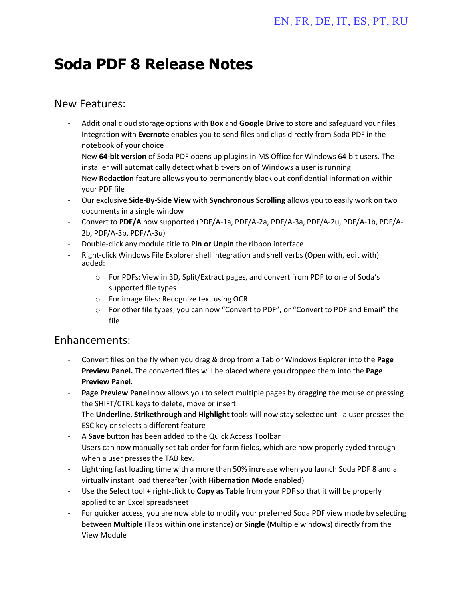## **Soda PDF 8 Release Notes**

#### New Features:

- Additional cloud storage options with **Box** and **Google Drive** to store and safeguard your files
- Integration with **Evernote** enables you to send files and clips directly from Soda PDF in the notebook of your choice
- New **64-bit version** of Soda PDF opens up plugins in MS Office for Windows 64-bit users. The installer will automatically detect what bit-version of Windows a user is running
- New **Redaction** feature allows you to permanently black out confidential information within your PDF file
- Our exclusive **Side-By-Side View** with **Synchronous Scrolling** allows you to easily work on two documents in a single window
- Convert to **PDF/A** now supported (PDF/A-1a, PDF/A-2a, PDF/A-3a, PDF/A-2u, PDF/A-1b, PDF/A-2b, PDF/A-3b, PDF/A-3u)
- Double-click any module title to **Pin or Unpin** the ribbon interface
- Right-click Windows File Explorer shell integration and shell verbs (Open with, edit with) added:
	- o For PDFs: View in 3D, Split/Extract pages, and convert from PDF to one of Soda's supported file types
	- o For image files: Recognize text using OCR
	- o For other file types, you can now "Convert to PDF", or "Convert to PDF and Email" the file

#### Enhancements:

- Convert files on the fly when you drag & drop from a Tab or Windows Explorer into the **Page Preview Panel.** The converted files will be placed where you dropped them into the **Page Preview Panel**.
- **Page Preview Panel** now allows you to select multiple pages by dragging the mouse or pressing the SHIFT/CTRL keys to delete, move or insert
- The **Underline**, **Strikethrough** and **Highlight** tools will now stay selected until a user presses the ESC key or selects a different feature
- A **Save** button has been added to the Quick Access Toolbar
- Users can now manually set tab order for form fields, which are now properly cycled through when a user presses the TAB key.
- Lightning fast loading time with a more than 50% increase when you launch Soda PDF 8 and a virtually instant load thereafter (with **Hibernation Mode** enabled)
- Use the Select tool + right-click to **Copy as Table** from your PDF so that it will be properly applied to an Excel spreadsheet
- For quicker access, you are now able to modify your preferred Soda PDF view mode by selecting between **Multiple** (Tabs within one instance) or **Single** (Multiple windows) directly from the View Module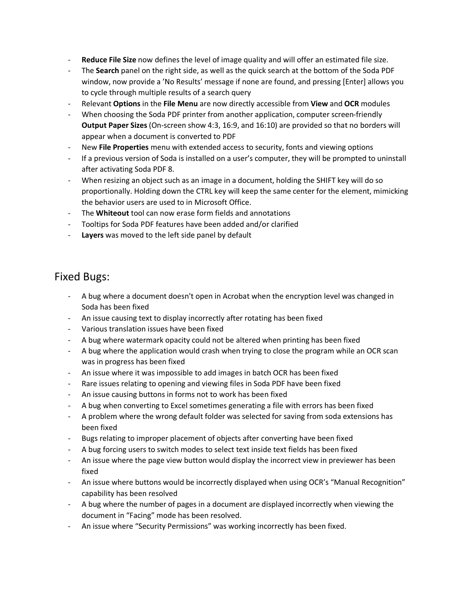- **Reduce File Size** now defines the level of image quality and will offer an estimated file size.
- The **Search** panel on the right side, as well as the quick search at the bottom of the Soda PDF window, now provide a 'No Results' message if none are found, and pressing [Enter] allows you to cycle through multiple results of a search query
- Relevant **Options** in the **File Menu** are now directly accessible from **View** and **OCR** modules
- When choosing the Soda PDF printer from another application, computer screen-friendly **Output Paper Sizes** (On-screen show 4:3, 16:9, and 16:10) are provided so that no borders will appear when a document is converted to PDF
- New **File Properties** menu with extended access to security, fonts and viewing options
- If a previous version of Soda is installed on a user's computer, they will be prompted to uninstall after activating Soda PDF 8.
- When resizing an object such as an image in a document, holding the SHIFT key will do so proportionally. Holding down the CTRL key will keep the same center for the element, mimicking the behavior users are used to in Microsoft Office.
- The **Whiteout** tool can now erase form fields and annotations
- Tooltips for Soda PDF features have been added and/or clarified
- Layers was moved to the left side panel by default

#### Fixed Bugs:

- A bug where a document doesn't open in Acrobat when the encryption level was changed in Soda has been fixed
- An issue causing text to display incorrectly after rotating has been fixed
- Various translation issues have been fixed
- A bug where watermark opacity could not be altered when printing has been fixed
- A bug where the application would crash when trying to close the program while an OCR scan was in progress has been fixed
- An issue where it was impossible to add images in batch OCR has been fixed
- Rare issues relating to opening and viewing files in Soda PDF have been fixed
- An issue causing buttons in forms not to work has been fixed
- A bug when converting to Excel sometimes generating a file with errors has been fixed
- A problem where the wrong default folder was selected for saving from soda extensions has been fixed
- Bugs relating to improper placement of objects after converting have been fixed
- A bug forcing users to switch modes to select text inside text fields has been fixed
- An issue where the page view button would display the incorrect view in previewer has been fixed
- An issue where buttons would be incorrectly displayed when using OCR's "Manual Recognition" capability has been resolved
- A bug where the number of pages in a document are displayed incorrectly when viewing the document in "Facing" mode has been resolved.
- An issue where "Security Permissions" was working incorrectly has been fixed.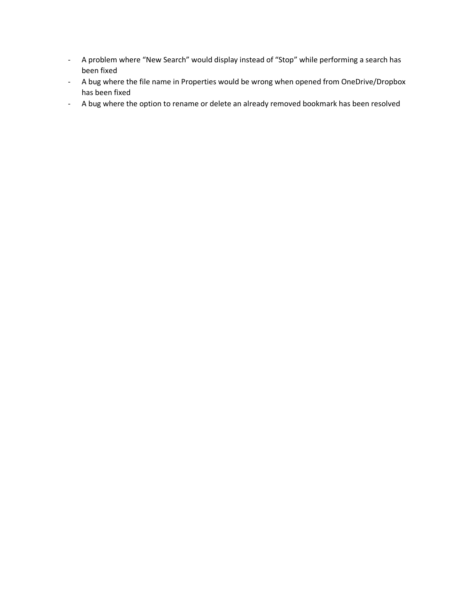- A problem where "New Search" would display instead of "Stop" while performing a search has been fixed
- A bug where the file name in Properties would be wrong when opened from OneDrive/Dropbox has been fixed
- A bug where the option to rename or delete an already removed bookmark has been resolved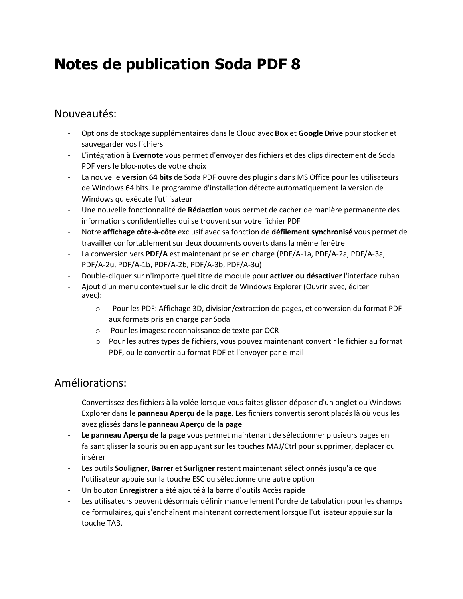## <span id="page-3-0"></span>**Notes de publication Soda PDF 8**

#### Nouveautés:

- Options de stockage supplémentaires dans le Cloud avec **Box** et **Google Drive** pour stocker et sauvegarder vos fichiers
- L'intégration à **Evernote** vous permet d'envoyer des fichiers et des clips directement de Soda PDF vers le bloc-notes de votre choix
- La nouvelle **version 64 bits** de Soda PDF ouvre des plugins dans MS Office pour les utilisateurs de Windows 64 bits. Le programme d'installation détecte automatiquement la version de Windows qu'exécute l'utilisateur
- Une nouvelle fonctionnalité de **Rédaction** vous permet de cacher de manière permanente des informations confidentielles qui se trouvent sur votre fichier PDF
- Notre **affichage côte-à-côte** exclusif avec sa fonction de **défilement synchronisé** vous permet de travailler confortablement sur deux documents ouverts dans la même fenêtre
- La conversion vers **PDF/A** est maintenant prise en charge (PDF/A-1a, PDF/A-2a, PDF/A-3a, PDF/A-2u, PDF/A-1b, PDF/A-2b, PDF/A-3b, PDF/A-3u)
- Double-cliquer sur n'importe quel titre de module pour **activer ou désactiver** l'interface ruban
- Ajout d'un menu contextuel sur le clic droit de Windows Explorer (Ouvrir avec, éditer avec):
	- o Pour les PDF: Affichage 3D, division/extraction de pages, et conversion du format PDF aux formats pris en charge par Soda
	- o Pour les images: reconnaissance de texte par OCR
	- o Pour les autres types de fichiers, vous pouvez maintenant convertir le fichier au format PDF, ou le convertir au format PDF et l'envoyer par e-mail

#### Améliorations:

- Convertissez des fichiers à la volée lorsque vous faites glisser-déposer d'un onglet ou Windows Explorer dans le **panneau Aperçu de la page**. Les fichiers convertis seront placés là où vous les avez glissés dans le **panneau Aperçu de la page**
- **Le panneau Aperçu de la page** vous permet maintenant de sélectionner plusieurs pages en faisant glisser la souris ou en appuyant sur les touches MAJ/Ctrl pour supprimer, déplacer ou insérer
- Les outils **Souligner, Barrer** et **Surligner** restent maintenant sélectionnés jusqu'à ce que l'utilisateur appuie sur la touche ESC ou sélectionne une autre option
- Un bouton **Enregistrer** a été ajouté à la barre d'outils Accès rapide
- Les utilisateurs peuvent désormais définir manuellement l'ordre de tabulation pour les champs de formulaires, qui s'enchaînent maintenant correctement lorsque l'utilisateur appuie sur la touche TAB.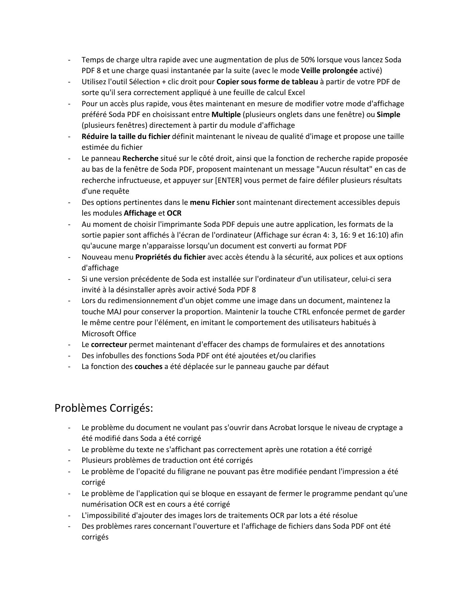- Temps de charge ultra rapide avec une augmentation de plus de 50% lorsque vous lancez Soda PDF 8 et une charge quasi instantanée par la suite (avec le mode **Veille prolongée** activé)
- Utilisez l'outil Sélection + clic droit pour **Copier sous forme de tableau** à partir de votre PDF de sorte qu'il sera correctement appliqué à une feuille de calcul Excel
- Pour un accès plus rapide, vous êtes maintenant en mesure de modifier votre mode d'affichage préféré Soda PDF en choisissant entre **Multiple** (plusieurs onglets dans une fenêtre) ou **Simple** (plusieurs fenêtres) directement à partir du module d'affichage
- **Réduire la taille du fichier** définit maintenant le niveau de qualité d'image et propose une taille estimée du fichier
- Le panneau **Recherche** situé sur le côté droit, ainsi que la fonction de recherche rapide proposée au bas de la fenêtre de Soda PDF, proposent maintenant un message "Aucun résultat" en cas de recherche infructueuse, et appuyer sur [ENTER] vous permet de faire défiler plusieurs résultats d'une requête
- Des options pertinentes dans le **menu Fichier** sont maintenant directement accessibles depuis les modules **Affichage** et **OCR**
- Au moment de choisir l'imprimante Soda PDF depuis une autre application, les formats de la sortie papier sont affichés à l'écran de l'ordinateur (Affichage sur écran 4: 3, 16: 9 et 16:10) afin qu'aucune marge n'apparaisse lorsqu'un document est converti au format PDF
- Nouveau menu **Propriétés du fichier** avec accès étendu à la sécurité, aux polices et aux options d'affichage
- Si une version précédente de Soda est installée sur l'ordinateur d'un utilisateur, celui-ci sera invité à la désinstaller après avoir activé Soda PDF 8
- Lors du redimensionnement d'un objet comme une image dans un document, maintenez la touche MAJ pour conserver la proportion. Maintenir la touche CTRL enfoncée permet de garder le même centre pour l'élément, en imitant le comportement des utilisateurs habitués à Microsoft Office
- Le **correcteur** permet maintenant d'effacer des champs de formulaires et des annotations
- Des infobulles des fonctions Soda PDF ont été ajoutées et/ou clarifies
- La fonction des **couches** a été déplacée sur le panneau gauche par défaut

### Problèmes Corrigés:

- Le problème du document ne voulant pas s'ouvrir dans Acrobat lorsque le niveau de cryptage a été modifié dans Soda a été corrigé
- Le problème du texte ne s'affichant pas correctement après une rotation a été corrigé
- Plusieurs problèmes de traduction ont été corrigés
- Le problème de l'opacité du filigrane ne pouvant pas être modifiée pendant l'impression a été corrigé
- Le problème de l'application qui se bloque en essayant de fermer le programme pendant qu'une numérisation OCR est en cours a été corrigé
- L'impossibilité d'ajouter des images lors de traitements OCR par lots a été résolue
- Des problèmes rares concernant l'ouverture et l'affichage de fichiers dans Soda PDF ont été corrigés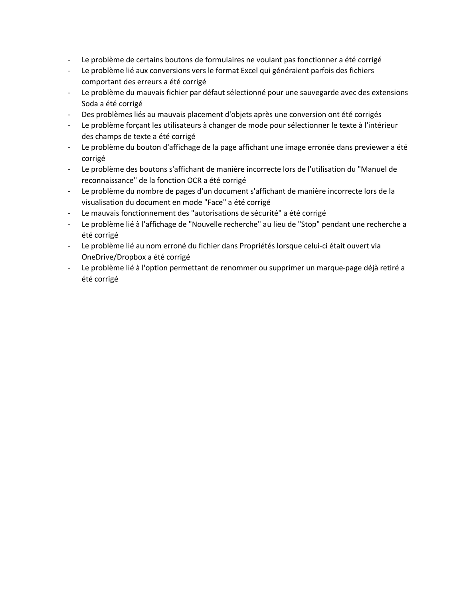- Le problème de certains boutons de formulaires ne voulant pas fonctionner a été corrigé
- Le problème lié aux conversions vers le format Excel qui généraient parfois des fichiers comportant des erreurs a été corrigé
- Le problème du mauvais fichier par défaut sélectionné pour une sauvegarde avec des extensions Soda a été corrigé
- Des problèmes liés au mauvais placement d'objets après une conversion ont été corrigés
- Le problème forçant les utilisateurs à changer de mode pour sélectionner le texte à l'intérieur des champs de texte a été corrigé
- Le problème du bouton d'affichage de la page affichant une image erronée dans previewer a été corrigé
- Le problème des boutons s'affichant de manière incorrecte lors de l'utilisation du "Manuel de reconnaissance" de la fonction OCR a été corrigé
- Le problème du nombre de pages d'un document s'affichant de manière incorrecte lors de la visualisation du document en mode "Face" a été corrigé
- Le mauvais fonctionnement des "autorisations de sécurité" a été corrigé
- Le problème lié à l'affichage de "Nouvelle recherche" au lieu de "Stop" pendant une recherche a été corrigé
- Le problème lié au nom erroné du fichier dans Propriétés lorsque celui-ci était ouvert via OneDrive/Dropbox a été corrigé
- Le problème lié à l'option permettant de renommer ou supprimer un marque-page déjà retiré a été corrigé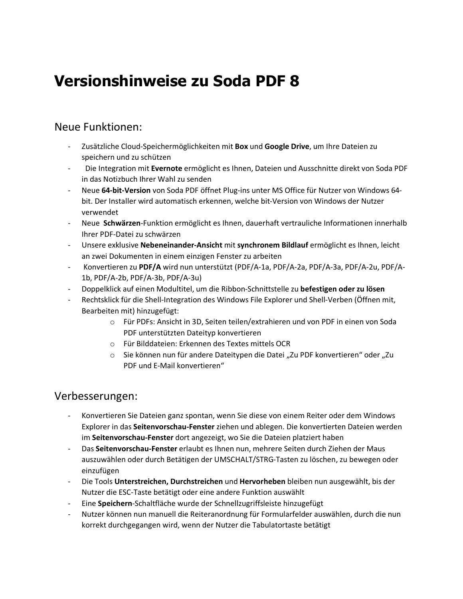## <span id="page-6-0"></span>**Versionshinweise zu Soda PDF 8**

#### Neue Funktionen:

- Zusätzliche Cloud-Speichermöglichkeiten mit **Box** und **Google Drive**, um Ihre Dateien zu speichern und zu schützen
- Die Integration mit **Evernote** ermöglicht es Ihnen, Dateien und Ausschnitte direkt von Soda PDF in das Notizbuch Ihrer Wahl zu senden
- Neue **64-bit-Version** von Soda PDF öffnet Plug-ins unter MS Office für Nutzer von Windows 64 bit. Der Installer wird automatisch erkennen, welche bit-Version von Windows der Nutzer verwendet
- Neue **Schwärzen**-Funktion ermöglicht es Ihnen, dauerhaft vertrauliche Informationen innerhalb Ihrer PDF-Datei zu schwärzen
- Unsere exklusive **Nebeneinander-Ansicht** mit **synchronem Bildlauf** ermöglicht es Ihnen, leicht an zwei Dokumenten in einem einzigen Fenster zu arbeiten
- Konvertieren zu **PDF/A** wird nun unterstützt (PDF/A-1a, PDF/A-2a, PDF/A-3a, PDF/A-2u, PDF/A-1b, PDF/A-2b, PDF/A-3b, PDF/A-3u)
- Doppelklick auf einen Modultitel, um die Ribbon-Schnittstelle zu **befestigen oder zu lösen**
- Rechtsklick für die Shell-Integration des Windows File Explorer und Shell-Verben (Öffnen mit, Bearbeiten mit) hinzugefügt:
	- o Für PDFs: Ansicht in 3D, Seiten teilen/extrahieren und von PDF in einen von Soda PDF unterstützten Dateityp konvertieren
	- o Für Bilddateien: Erkennen des Textes mittels OCR
	- $\circ$  Sie können nun für andere Dateitypen die Datei "Zu PDF konvertieren" oder "Zu PDF und E-Mail konvertieren"

#### Verbesserungen:

- Konvertieren Sie Dateien ganz spontan, wenn Sie diese von einem Reiter oder dem Windows Explorer in das **Seitenvorschau-Fenster** ziehen und ablegen. Die konvertierten Dateien werden im **Seitenvorschau-Fenster** dort angezeigt, wo Sie die Dateien platziert haben
- Das **Seitenvorschau-Fenster** erlaubt es Ihnen nun, mehrere Seiten durch Ziehen der Maus auszuwählen oder durch Betätigen der UMSCHALT/STRG-Tasten zu löschen, zu bewegen oder einzufügen
- Die Tools **Unterstreichen, Durchstreichen** und **Hervorheben** bleiben nun ausgewählt, bis der Nutzer die ESC-Taste betätigt oder eine andere Funktion auswählt
- Eine **Speichern**-Schaltfläche wurde der Schnellzugriffsleiste hinzugefügt
- Nutzer können nun manuell die Reiteranordnung für Formularfelder auswählen, durch die nun korrekt durchgegangen wird, wenn der Nutzer die Tabulatortaste betätigt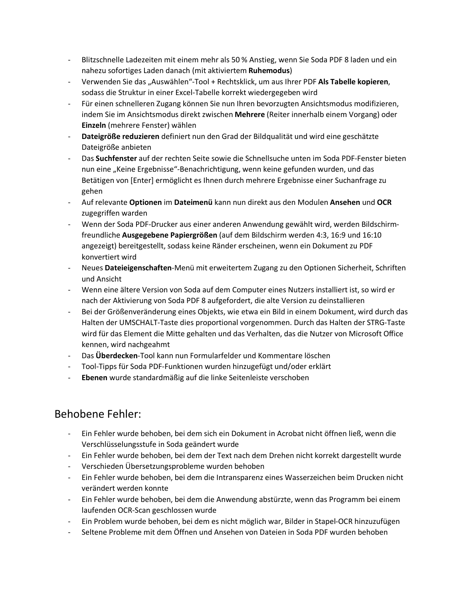- Blitzschnelle Ladezeiten mit einem mehr als 50 % Anstieg, wenn Sie Soda PDF 8 laden und ein nahezu sofortiges Laden danach (mit aktiviertem **Ruhemodus**)
- Verwenden Sie das "Auswählen"-Tool + Rechtsklick, um aus Ihrer PDF **Als Tabelle kopieren**, sodass die Struktur in einer Excel-Tabelle korrekt wiedergegeben wird
- Für einen schnelleren Zugang können Sie nun Ihren bevorzugten Ansichtsmodus modifizieren, indem Sie im Ansichtsmodus direkt zwischen **Mehrere** (Reiter innerhalb einem Vorgang) oder **Einzeln** (mehrere Fenster) wählen
- **Dateigröße reduzieren** definiert nun den Grad der Bildqualität und wird eine geschätzte Dateigröße anbieten
- Das **Suchfenster** auf der rechten Seite sowie die Schnellsuche unten im Soda PDF-Fenster bieten nun eine "Keine Ergebnisse"-Benachrichtigung, wenn keine gefunden wurden, und das Betätigen von [Enter] ermöglicht es Ihnen durch mehrere Ergebnisse einer Suchanfrage zu gehen
- Auf relevante **Optionen** im **Dateimenü** kann nun direkt aus den Modulen **Ansehen** und **OCR** zugegriffen warden
- Wenn der Soda PDF-Drucker aus einer anderen Anwendung gewählt wird, werden Bildschirmfreundliche **Ausgegebene Papiergrößen** (auf dem Bildschirm werden 4:3, 16:9 und 16:10 angezeigt) bereitgestellt, sodass keine Ränder erscheinen, wenn ein Dokument zu PDF konvertiert wird
- Neues **Dateieigenschaften**-Menü mit erweitertem Zugang zu den Optionen Sicherheit, Schriften und Ansicht
- Wenn eine ältere Version von Soda auf dem Computer eines Nutzers installiert ist, so wird er nach der Aktivierung von Soda PDF 8 aufgefordert, die alte Version zu deinstallieren
- Bei der Größenveränderung eines Objekts, wie etwa ein Bild in einem Dokument, wird durch das Halten der UMSCHALT-Taste dies proportional vorgenommen. Durch das Halten der STRG-Taste wird für das Element die Mitte gehalten und das Verhalten, das die Nutzer von Microsoft Office kennen, wird nachgeahmt
- Das **Überdecken**-Tool kann nun Formularfelder und Kommentare löschen
- Tool-Tipps für Soda PDF-Funktionen wurden hinzugefügt und/oder erklärt
- **Ebenen** wurde standardmäßig auf die linke Seitenleiste verschoben

### Behobene Fehler:

- Ein Fehler wurde behoben, bei dem sich ein Dokument in Acrobat nicht öffnen ließ, wenn die Verschlüsselungsstufe in Soda geändert wurde
- Ein Fehler wurde behoben, bei dem der Text nach dem Drehen nicht korrekt dargestellt wurde
- Verschieden Übersetzungsprobleme wurden behoben
- Ein Fehler wurde behoben, bei dem die Intransparenz eines Wasserzeichen beim Drucken nicht verändert werden konnte
- Ein Fehler wurde behoben, bei dem die Anwendung abstürzte, wenn das Programm bei einem laufenden OCR-Scan geschlossen wurde
- Ein Problem wurde behoben, bei dem es nicht möglich war, Bilder in Stapel-OCR hinzuzufügen
- Seltene Probleme mit dem Öffnen und Ansehen von Dateien in Soda PDF wurden behoben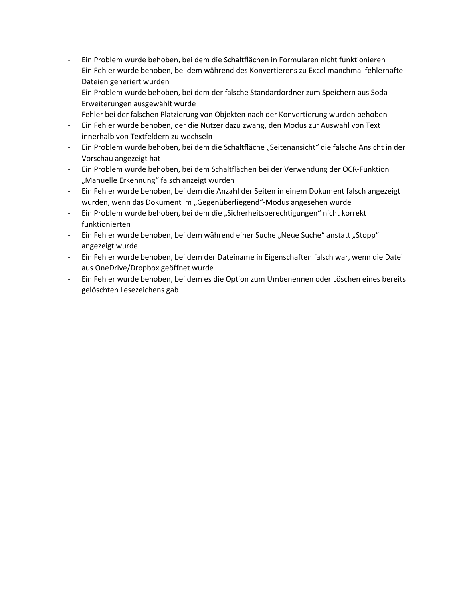- Ein Problem wurde behoben, bei dem die Schaltflächen in Formularen nicht funktionieren
- Ein Fehler wurde behoben, bei dem während des Konvertierens zu Excel manchmal fehlerhafte Dateien generiert wurden
- Ein Problem wurde behoben, bei dem der falsche Standardordner zum Speichern aus Soda-Erweiterungen ausgewählt wurde
- Fehler bei der falschen Platzierung von Objekten nach der Konvertierung wurden behoben
- Ein Fehler wurde behoben, der die Nutzer dazu zwang, den Modus zur Auswahl von Text innerhalb von Textfeldern zu wechseln
- Ein Problem wurde behoben, bei dem die Schaltfläche "Seitenansicht" die falsche Ansicht in der Vorschau angezeigt hat
- Ein Problem wurde behoben, bei dem Schaltflächen bei der Verwendung der OCR-Funktion "Manuelle Erkennung" falsch anzeigt wurden
- Ein Fehler wurde behoben, bei dem die Anzahl der Seiten in einem Dokument falsch angezeigt wurden, wenn das Dokument im "Gegenüberliegend"-Modus angesehen wurde
- Ein Problem wurde behoben, bei dem die "Sicherheitsberechtigungen" nicht korrekt funktionierten
- Ein Fehler wurde behoben, bei dem während einer Suche "Neue Suche" anstatt "Stopp" angezeigt wurde
- Ein Fehler wurde behoben, bei dem der Dateiname in Eigenschaften falsch war, wenn die Datei aus OneDrive/Dropbox geöffnet wurde
- Ein Fehler wurde behoben, bei dem es die Option zum Umbenennen oder Löschen eines bereits gelöschten Lesezeichens gab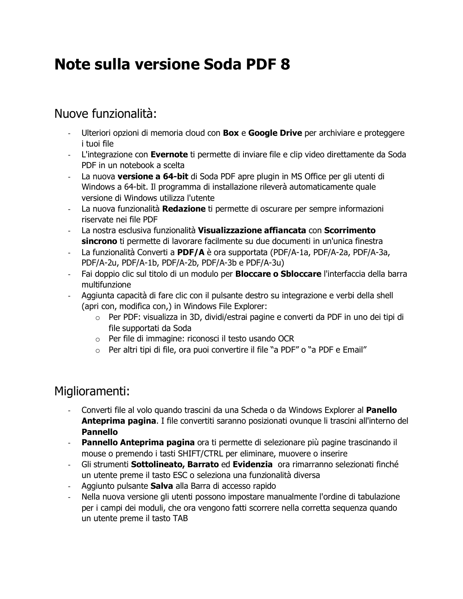# <span id="page-9-0"></span>**Note sulla versione Soda PDF 8**

## Nuove funzionalità:

- Ulteriori opzioni di memoria cloud con **Box** e **Google Drive** per archiviare e proteggere i tuoi file
- L'integrazione con **Evernote** ti permette di inviare file e clip video direttamente da Soda PDF in un notebook a scelta
- La nuova **versione a 64-bit** di Soda PDF apre plugin in MS Office per gli utenti di Windows a 64-bit. Il programma di installazione rileverà automaticamente quale versione di Windows utilizza l'utente
- La nuova funzionalità **Redazione** ti permette di oscurare per sempre informazioni riservate nei file PDF
- La nostra esclusiva funzionalità **Visualizzazione affiancata** con **Scorrimento sincrono** ti permette di lavorare facilmente su due documenti in un'unica finestra
- La funzionalità Converti a **PDF/A** è ora supportata (PDF/A-1a, PDF/A-2a, PDF/A-3a, PDF/A-2u, PDF/A-1b, PDF/A-2b, PDF/A-3b e PDF/A-3u)
- Fai doppio clic sul titolo di un modulo per **Bloccare o Sbloccare** l'interfaccia della barra multifunzione
- Aggiunta capacità di fare clic con il pulsante destro su integrazione e verbi della shell (apri con, modifica con,) in Windows File Explorer:
	- $\circ$  Per PDF: visualizza in 3D, dividi/estrai pagine e converti da PDF in uno dei tipi di file supportati da Soda
	- o Per file di immagine: riconosci il testo usando OCR
	- o Per altri tipi di file, ora puoi convertire il file "a PDF" o "a PDF e Email"

## Miglioramenti:

- Converti file al volo quando trascini da una Scheda o da Windows Explorer al **Panello Anteprima pagina**. I file convertiti saranno posizionati ovunque li trascini all'interno del **Pannello**
- **Pannello Anteprima pagina** ora ti permette di selezionare più pagine trascinando il mouse o premendo i tasti SHIFT/CTRL per eliminare, muovere o inserire
- Gli strumenti **Sottolineato, Barrato** ed **Evidenzia** ora rimarranno selezionati finché un utente preme il tasto ESC o seleziona una funzionalità diversa
- Aggiunto pulsante **Salva** alla Barra di accesso rapido
- Nella nuova versione gli utenti possono impostare manualmente l'ordine di tabulazione per i campi dei moduli, che ora vengono fatti scorrere nella corretta sequenza quando un utente preme il tasto TAB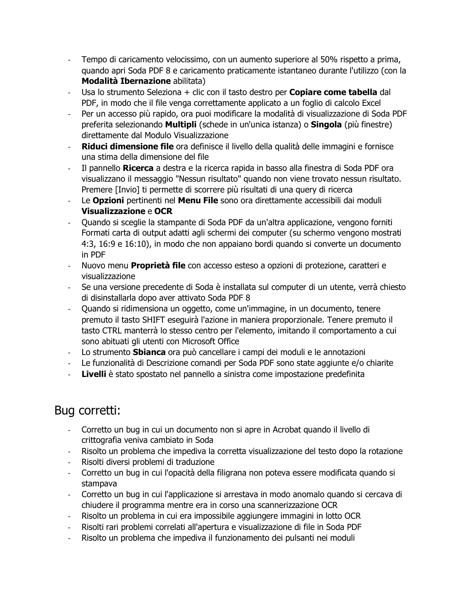- Tempo di caricamento velocissimo, con un aumento superiore al 50% rispetto a prima, quando apri Soda PDF 8 e caricamento praticamente istantaneo durante l'utilizzo (con la **Modalità Ibernazione** abilitata)
- Usa lo strumento Seleziona + clic con il tasto destro per **Copiare come tabella** dal PDF, in modo che il file venga correttamente applicato a un foglio di calcolo Excel
- Per un accesso più rapido, ora puoi modificare la modalità di visualizzazione di Soda PDF preferita selezionando **Multipli** (schede in un'unica istanza) o **Singola** (più finestre) direttamente dal Modulo Visualizzazione
- **Riduci dimensione file** ora definisce il livello della qualità delle immagini e fornisce una stima della dimensione del file
- Il pannello **Ricerca** a destra e la ricerca rapida in basso alla finestra di Soda PDF ora visualizzano il messaggio "Nessun risultato" quando non viene trovato nessun risultato. Premere [Invio] ti permette di scorrere più risultati di una query di ricerca
- Le **Opzioni** pertinenti nel **Menu File** sono ora direttamente accessibili dai moduli **Visualizzazione** e **OCR**
- Quando si sceglie la stampante di Soda PDF da un'altra applicazione, vengono forniti Formati carta di output adatti agli schermi dei computer (su schermo vengono mostrati 4:3, 16:9 e 16:10), in modo che non appaiano bordi quando si converte un documento in PDF
- Nuovo menu **Proprietà file** con accesso esteso a opzioni di protezione, caratteri e visualizzazione
- Se una versione precedente di Soda è installata sul computer di un utente, verrà chiesto di disinstallarla dopo aver attivato Soda PDF 8
- Quando si ridimensiona un oggetto, come un'immagine, in un documento, tenere premuto il tasto SHIFT eseguirà l'azione in maniera proporzionale. Tenere premuto il tasto CTRL manterrà lo stesso centro per l'elemento, imitando il comportamento a cui sono abituati gli utenti con Microsoft Office
- Lo strumento **Sbianca** ora può cancellare i campi dei moduli e le annotazioni
- Le funzionalità di Descrizione comandi per Soda PDF sono state aggiunte e/o chiarite
- **Livelli** è stato spostato nel pannello a sinistra come impostazione predefinita

## Bug corretti:

- Corretto un bug in cui un documento non si apre in Acrobat quando il livello di crittografia veniva cambiato in Soda
- Risolto un problema che impediva la corretta visualizzazione del testo dopo la rotazione
- Risolti diversi problemi di traduzione
- Corretto un bug in cui l'opacità della filigrana non poteva essere modificata quando si stampava
- Corretto un bug in cui l'applicazione si arrestava in modo anomalo quando si cercava di chiudere il programma mentre era in corso una scannerizzazione OCR
- Risolto un problema in cui era impossibile aggiungere immagini in lotto OCR
- Risolti rari problemi correlati all'apertura e visualizzazione di file in Soda PDF
- Risolto un problema che impediva il funzionamento dei pulsanti nei moduli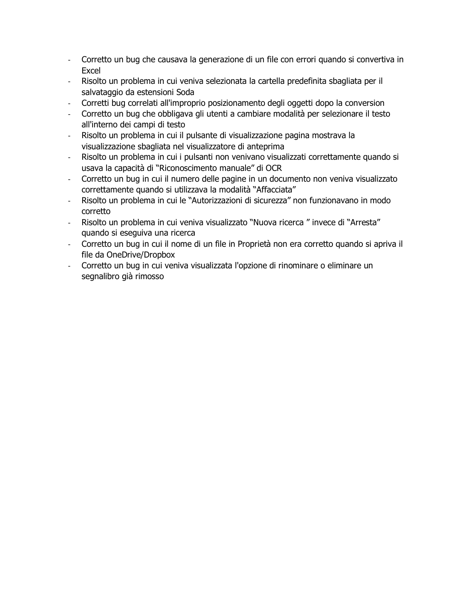- Corretto un bug che causava la generazione di un file con errori quando si convertiva in Excel
- Risolto un problema in cui veniva selezionata la cartella predefinita sbagliata per il salvataggio da estensioni Soda
- Corretti bug correlati all'improprio posizionamento degli oggetti dopo la conversion
- Corretto un bug che obbligava gli utenti a cambiare modalità per selezionare il testo all'interno dei campi di testo
- Risolto un problema in cui il pulsante di visualizzazione pagina mostrava la visualizzazione sbagliata nel visualizzatore di anteprima
- Risolto un problema in cui i pulsanti non venivano visualizzati correttamente quando si usava la capacità di "Riconoscimento manuale" di OCR
- Corretto un bug in cui il numero delle pagine in un documento non veniva visualizzato correttamente quando si utilizzava la modalità "Affacciata"
- Risolto un problema in cui le "Autorizzazioni di sicurezza" non funzionavano in modo corretto
- Risolto un problema in cui veniva visualizzato "Nuova ricerca " invece di "Arresta" quando si eseguiva una ricerca
- Corretto un bug in cui il nome di un file in Proprietà non era corretto quando si apriva il file da OneDrive/Dropbox
- Corretto un bug in cui veniva visualizzata l'opzione di rinominare o eliminare un segnalibro già rimosso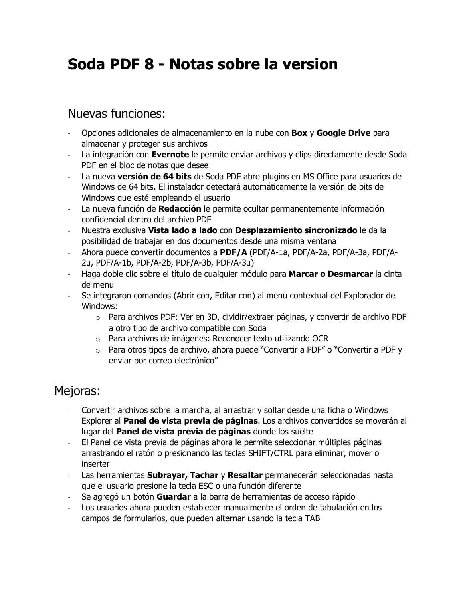# <span id="page-12-0"></span>**Soda PDF 8 - Notas sobre la version**

### Nuevas funciones:

- Opciones adicionales de almacenamiento en la nube con **Box** y **Google Drive** para almacenar y proteger sus archivos
- La integración con **Evernote** le permite enviar archivos y clips directamente desde Soda PDF en el bloc de notas que desee
- La nueva **versión de 64 bits** de Soda PDF abre plugins en MS Office para usuarios de Windows de 64 bits. El instalador detectará automáticamente la versión de bits de Windows que esté empleando el usuario
- La nueva función de **Redacción** le permite ocultar permanentemente información confidencial dentro del archivo PDF
- Nuestra exclusiva **Vista lado a lado** con **Desplazamiento sincronizado** le da la posibilidad de trabajar en dos documentos desde una misma ventana
- Ahora puede convertir documentos a **PDF/A** (PDF/A-1a, PDF/A-2a, PDF/A-3a, PDF/A-2u, PDF/A-1b, PDF/A-2b, PDF/A-3b, PDF/A-3u)
- Haga doble clic sobre el título de cualquier módulo para **Marcar o Desmarcar** la cinta de menu
- Se integraron comandos (Abrir con, Editar con) al menú contextual del Explorador deWindows:
	- $\circ$  Para archivos PDF: Ver en 3D, dividir/extraer páginas, y convertir de archivo PDF a otro tipo de archivo compatible con Soda
	- o Para archivos de imágenes: Reconocer texto utilizando OCR
	- $\circ$  Para otros tipos de archivo, ahora puede "Convertir a PDF" o "Convertir a PDF y enviar por correo electrónico"

## Mejoras:

- Convertir archivos sobre la marcha, al arrastrar y soltar desde una ficha o Windows Explorer al **Panel de vista previa de páginas**. Los archivos convertidos se moverán al lugar del **Panel de vista previa de páginas** donde los suelte
- El Panel de vista previa de páginas ahora le permite seleccionar múltiples páginas arrastrando el ratón o presionando las teclas SHIFT/CTRL para eliminar, mover o inserter
- Las herramientas **Subrayar, Tachar** y **Resaltar** permanecerán seleccionadas hasta que el usuario presione la tecla ESC o una función diferente
- Se agregó un botón **Guardar** a la barra de herramientas de acceso rápido
- Los usuarios ahora pueden establecer manualmente el orden de tabulación en los campos de formularios, que pueden alternar usando la tecla TAB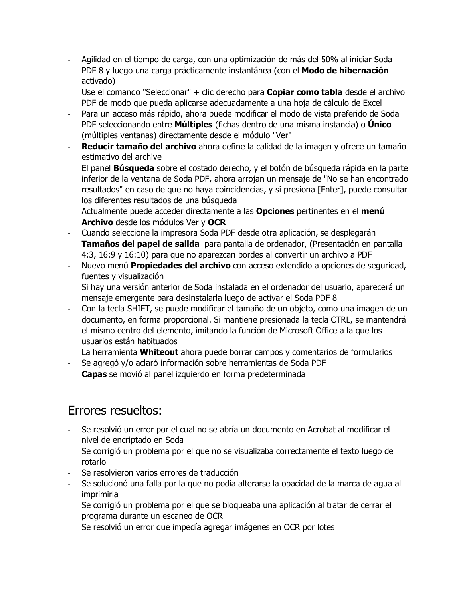- Agilidad en el tiempo de carga, con una optimización de más del 50% al iniciar Soda PDF 8 y luego una carga prácticamente instantánea (con el **Modo de hibernación** activado)
- Use el comando "Seleccionar" + clic derecho para **Copiar como tabla** desde el archivo PDF de modo que pueda aplicarse adecuadamente a una hoja de cálculo de Excel
- Para un acceso más rápido, ahora puede modificar el modo de vista preferido de Soda PDF seleccionando entre **Múltiples** (fichas dentro de una misma instancia) o **Único** (múltiples ventanas) directamente desde el módulo "Ver"
- **Reducir tamaño del archivo** ahora define la calidad de la imagen y ofrece un tamaño estimativo del archive
- El panel **Búsqueda** sobre el costado derecho, y el botón de búsqueda rápida en la parte inferior de la ventana de Soda PDF, ahora arrojan un mensaje de "No se han encontrado resultados" en caso de que no haya coincidencias, y si presiona [Enter], puede consultar los diferentes resultados de una búsqueda
- Actualmente puede acceder directamente a las **Opciones** pertinentes en el **menú Archivo** desde los módulos Ver y **OCR**
- Cuando seleccione la impresora Soda PDF desde otra aplicación, se desplegarán **Tamaños del papel de salida** para pantalla de ordenador, (Presentación en pantalla 4:3, 16:9 y 16:10) para que no aparezcan bordes al convertir un archivo a PDF
- Nuevo menú **Propiedades del archivo** con acceso extendido a opciones de seguridad, fuentes y visualización
- Si hay una versión anterior de Soda instalada en el ordenador del usuario, aparecerá un mensaje emergente para desinstalarla luego de activar el Soda PDF 8
- Con la tecla SHIFT, se puede modificar el tamaño de un objeto, como una imagen de un documento, en forma proporcional. Si mantiene presionada la tecla CTRL, se mantendrá el mismo centro del elemento, imitando la función de Microsoft Office a la que los usuarios están habituados
- La herramienta **Whiteout** ahora puede borrar campos y comentarios de formularios
- Se agregó y/o aclaró información sobre herramientas de Soda PDF
- **Capas** se movió al panel izquierdo en forma predeterminada

### Errores resueltos:

- Se resolvió un error por el cual no se abría un documento en Acrobat al modificar el nivel de encriptado en Soda
- Se corrigió un problema por el que no se visualizaba correctamente el texto luego de rotarlo
- Se resolvieron varios errores de traducción
- Se solucionó una falla por la que no podía alterarse la opacidad de la marca de agua al imprimirla
- Se corrigió un problema por el que se bloqueaba una aplicación al tratar de cerrar el programa durante un escaneo de OCR
- Se resolvió un error que impedía agregar imágenes en OCR por lotes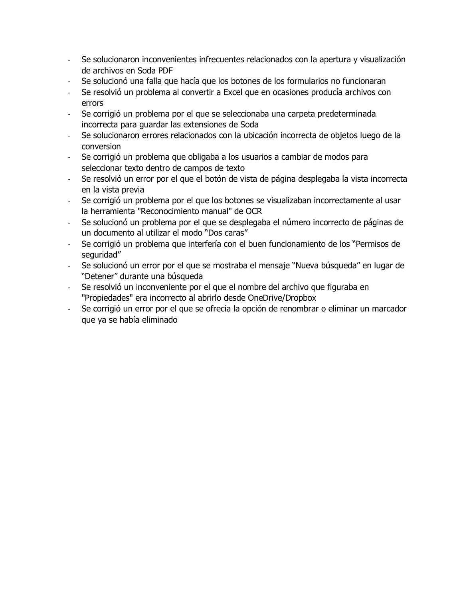- Se solucionaron inconvenientes infrecuentes relacionados con la apertura y visualización de archivos en Soda PDF
- Se solucionó una falla que hacía que los botones de los formularios no funcionaran
- Se resolvió un problema al convertir a Excel que en ocasiones producía archivos con errors
- Se corrigió un problema por el que se seleccionaba una carpeta predeterminada incorrecta para guardar las extensiones de Soda
- Se solucionaron errores relacionados con la ubicación incorrecta de objetos luego de la conversion
- Se corrigió un problema que obligaba a los usuarios a cambiar de modos para seleccionar texto dentro de campos de texto
- Se resolvió un error por el que el botón de vista de página desplegaba la vista incorrecta en la vista previa
- Se corrigió un problema por el que los botones se visualizaban incorrectamente al usar la herramienta "Reconocimiento manual" de OCR
- Se solucionó un problema por el que se desplegaba el número incorrecto de páginas de un documento al utilizar el modo "Dos caras"
- Se corrigió un problema que interfería con el buen funcionamiento de los "Permisos de seguridad"
- Se solucionó un error por el que se mostraba el mensaje "Nueva búsqueda" en lugar de "Detener" durante una búsqueda
- Se resolvió un inconveniente por el que el nombre del archivo que figuraba en "Propiedades" era incorrecto al abrirlo desde OneDrive/Dropbox
- Se corrigió un error por el que se ofrecía la opción de renombrar o eliminar un marcador que ya se había eliminado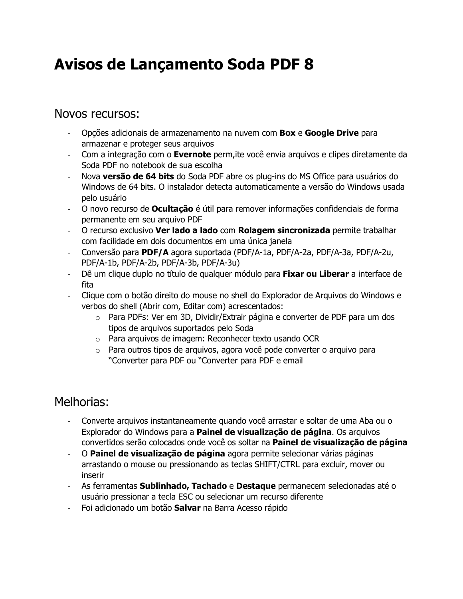# <span id="page-15-0"></span>**Avisos de Lançamento Soda PDF 8**

#### Novos recursos:

- Opções adicionais de armazenamento na nuvem com **Box** e **Google Drive** para armazenar e proteger seus arquivos
- Com a integração com o **Evernote** perm,ite você envia arquivos e clipes diretamente da Soda PDF no notebook de sua escolha
- Nova **versão de 64 bits** do Soda PDF abre os plug-ins do MS Office para usuários do Windows de 64 bits. O instalador detecta automaticamente a versão do Windows usada pelo usuário
- O novo recurso de **Ocultação** é útil para remover informações confidenciais de forma permanente em seu arquivo PDF
- O recurso exclusivo **Ver lado a lado** com **Rolagem sincronizada** permite trabalhar com facilidade em dois documentos em uma única janela
- Conversão para **PDF/A** agora suportada (PDF/A-1a, PDF/A-2a, PDF/A-3a, PDF/A-2u, PDF/A-1b, PDF/A-2b, PDF/A-3b, PDF/A-3u)
- Dê um clique duplo no título de qualquer módulo para **Fixar ou Liberar** a interface de fita
- Clique com o botão direito do mouse no shell do Explorador de Arquivos do Windows e verbos do shell (Abrir com, Editar com) acrescentados:
	- o Para PDFs: Ver em 3D, Dividir/Extrair página e converter de PDF para um dos tipos de arquivos suportados pelo Soda
	- o Para arquivos de imagem: Reconhecer texto usando OCR
	- o Para outros tipos de arquivos, agora você pode converter o arquivo para "Converter para PDF ou "Converter para PDF e email

## Melhorias:

- Converte arquivos instantaneamente quando você arrastar e soltar de uma Aba ou o Explorador do Windows para a **Painel de visualização de página**. Os arquivos convertidos serão colocados onde você os soltar na **Painel de visualização de página**
- O **Painel de visualização de página** agora permite selecionar várias páginas arrastando o mouse ou pressionando as teclas SHIFT/CTRL para excluir, mover ou inserir
- As ferramentas **Sublinhado, Tachado** e **Destaque** permanecem selecionadas até o usuário pressionar a tecla ESC ou selecionar um recurso diferente
- Foi adicionado um botão **Salvar** na Barra Acesso rápido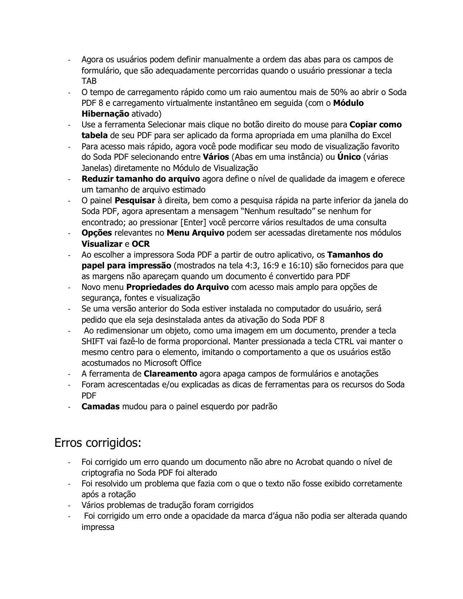- Agora os usuários podem definir manualmente a ordem das abas para os campos de formulário, que são adequadamente percorridas quando o usuário pressionar a tecla TAB
- O tempo de carregamento rápido como um raio aumentou mais de 50% ao abrir o Soda PDF 8 e carregamento virtualmente instantâneo em seguida (com o **Módulo Hibernação** ativado)
- Use a ferramenta Selecionar mais clique no botão direito do mouse para **Copiar como tabela** de seu PDF para ser aplicado da forma apropriada em uma planilha do Excel
- Para acesso mais rápido, agora você pode modificar seu modo de visualização favorito do Soda PDF selecionando entre **Vários** (Abas em uma instância) ou **Único** (várias Janelas) diretamente no Módulo de Visualização
- **Reduzir tamanho do arquivo** agora define o nível de qualidade da imagem e oferece um tamanho de arquivo estimado
- O painel **Pesquisar** à direita, bem como a pesquisa rápida na parte inferior da janela do Soda PDF, agora apresentam a mensagem "Nenhum resultado" se nenhum for encontrado; ao pressionar [Enter] você percorre vários resultados de uma consulta
- **Opções** relevantes no **Menu Arquivo** podem ser acessadas diretamente nos módulos **Visualizar** e **OCR**
- Ao escolher a impressora Soda PDF a partir de outro aplicativo, os **Tamanhos do papel para impressão** (mostrados na tela 4:3, 16:9 e 16:10) são fornecidos para que as margens não apareçam quando um documento é convertido para PDF
- Novo menu **Propriedades do Arquivo** com acesso mais amplo para opções de segurança, fontes e visualização
- Se uma versão anterior do Soda estiver instalada no computador do usuário, será pedido que ela seja desinstalada antes da ativação do Soda PDF 8
- Ao redimensionar um objeto, como uma imagem em um documento, prender a tecla SHIFT vai fazê-lo de forma proporcional. Manter pressionada a tecla CTRL vai manter o mesmo centro para o elemento, imitando o comportamento a que os usuários estão acostumados no Microsoft Office
- A ferramenta de **Clareamento** agora apaga campos de formulários e anotações
- Foram acrescentadas e/ou explicadas as dicas de ferramentas para os recursos do Soda PDF
- **Camadas** mudou para o painel esquerdo por padrão

## Erros corrigidos:

- Foi corrigido um erro quando um documento não abre no Acrobat quando o nível de criptografia no Soda PDF foi alterado
- Foi resolvido um problema que fazia com o que o texto não fosse exibido corretamente após a rotação
- Vários problemas de tradução foram corrigidos
- Foi corrigido um erro onde a opacidade da marca d'água não podia ser alterada quando impressa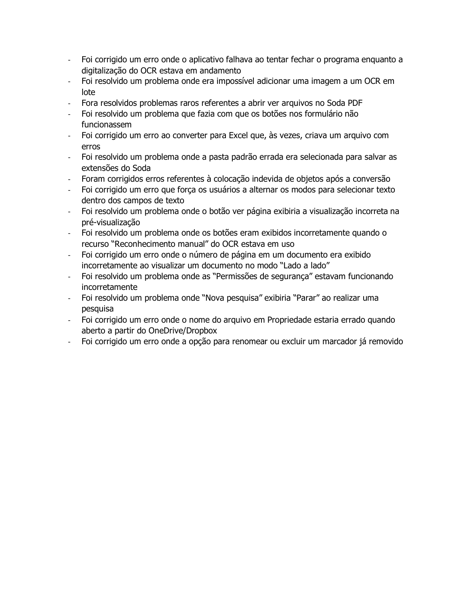- Foi corrigido um erro onde o aplicativo falhava ao tentar fechar o programa enquanto a digitalização do OCR estava em andamento
- Foi resolvido um problema onde era impossível adicionar uma imagem a um OCR em lote
- Fora resolvidos problemas raros referentes a abrir ver arquivos no Soda PDF
- Foi resolvido um problema que fazia com que os botões nos formulário não funcionassem
- Foi corrigido um erro ao converter para Excel que, às vezes, criava um arquivo com erros
- Foi resolvido um problema onde a pasta padrão errada era selecionada para salvar as extensões do Soda
- Foram corrigidos erros referentes à colocação indevida de objetos após a conversão
- Foi corrigido um erro que força os usuários a alternar os modos para selecionar texto dentro dos campos de texto
- Foi resolvido um problema onde o botão ver página exibiria a visualização incorreta na pré-visualização
- Foi resolvido um problema onde os botões eram exibidos incorretamente quando o recurso "Reconhecimento manual" do OCR estava em uso
- Foi corrigido um erro onde o número de página em um documento era exibido incorretamente ao visualizar um documento no modo "Lado a lado"
- Foi resolvido um problema onde as "Permissões de segurança" estavam funcionando incorretamente
- Foi resolvido um problema onde "Nova pesquisa" exibiria "Parar" ao realizar uma pesquisa
- Foi corrigido um erro onde o nome do arquivo em Propriedade estaria errado quando aberto a partir do OneDrive/Dropbox
- Foi corrigido um erro onde a opção para renomear ou excluir um marcador já removido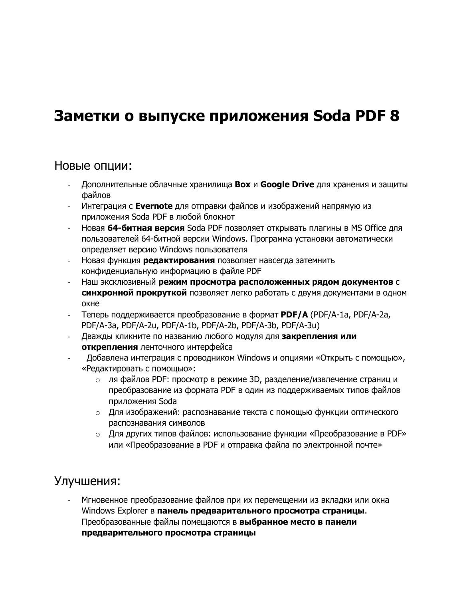## <span id="page-18-0"></span>**Заметки о выпуске приложения Soda PDF 8**

#### Новые опции:

- Дополнительные облачные хранилища **Box** и **Google Drive** для хранения и защиты файлов
- Интеграция с **Evernote** для отправки файлов и изображений напрямую из приложения Soda PDF в любой блокнот
- Новая **64-битная версия** Soda PDF позволяет открывать плагины в MS Office для пользователей 64-битной версии Windows. Программа установки автоматически определяет версию Windows пользователя
- Новая функция **редактирования** позволяет навсегда затемнить конфиденциальную информацию в файле PDF
- Наш эксклюзивный **режим просмотра расположенных рядом документов** с **синхронной прокруткой** позволяет легко работать с двумя документами в одном окне
- Теперь поддерживается преобразование в формат **PDF/A** (PDF/A-1a, PDF/A-2a, PDF/A-3a, PDF/A-2u, PDF/A-1b, PDF/A-2b, PDF/A-3b, PDF/A-3u)
- Дважды кликните по названию любого модуля для **закрепления или открепления** ленточного интерфейса
- Добавлена интеграция с проводником Windows и опциями «Открыть с помощью», «Редактировать с помощью»:
	- o ля файлов PDF: просмотр в режиме 3D, разделение/извлечение страниц и преобразование из формата PDF в один из поддерживаемых типов файлов приложения Soda
	- o Для изображений: распознавание текста с помощью функции оптического распознавания символов
	- $\circ$  Для других типов файлов: использование функции «Преобразование в PDF» или «Преобразование в PDF и отправка файла по электронной почте»

#### Улучшения:

Мгновенное преобразование файлов при их перемещении из вкладки или окна Windows Explorer в **панель предварительного просмотра страницы**. Преобразованные файлы помещаются в **выбранное место в панели предварительного просмотра страницы**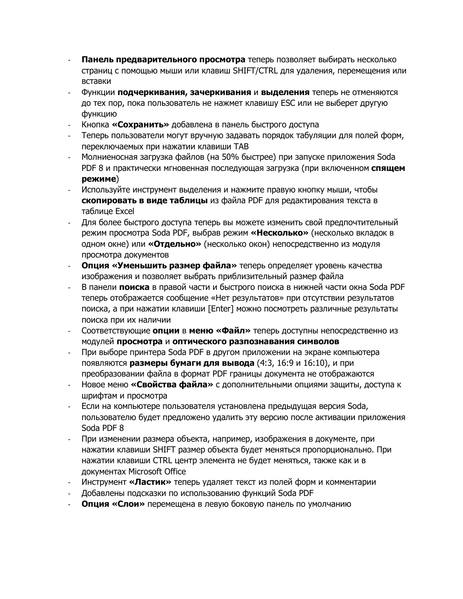- **Панель предварительного просмотра** теперь позволяет выбирать несколько страниц с помощью мыши или клавиш SHIFT/CTRL для удаления, перемещения или вставки
- Функции **подчеркивания, зачеркивания** и **выделения** теперь не отменяются до тех пор, пока пользователь не нажмет клавишу ESC или не выберет другую функцию
- Кнопка **«Сохранить»** добавлена в панель быстрого доступа
- Теперь пользователи могут вручную задавать порядок табуляции для полей форм, переключаемых при нажатии клавиши TAB
- Молниеносная загрузка файлов (на 50% быстрее) при запуске приложения Soda PDF 8 и практически мгновенная последующая загрузка (при включенном **спящем режиме**)
- Используйте инструмент выделения и нажмите правую кнопку мыши, чтобы **скопировать в виде таблицы** из файла PDF для редактирования текста в таблице Excel
- Для более быстрого доступа теперь вы можете изменить свой предпочтительный режим просмотра Soda PDF, выбрав режим **«Несколько»** (несколько вкладок в одном окне) или **«Отдельно»** (несколько окон) непосредственно из модуля просмотра документов
- **Опция «Уменьшить размер файла»** теперь определяет уровень качества изображения и позволяет выбрать приблизительный размер файла
- В панели **поиска** в правой части и быстрого поиска в нижней части окна Soda PDF теперь отображается сообщение «Нет результатов» при отсутствии результатов поиска, а при нажатии клавиши [Enter] можно посмотреть различные результаты поиска при их наличии
- Соответствующие **опции** в **меню «Файл»** теперь доступны непосредственно из модулей **просмотра** и **оптического разпознавания символов**
- При выборе принтера Soda PDF в другом приложении на экране компьютера появляются **размеры бумаги для вывода** (4:3, 16:9 и 16:10), и при преобразовании файла в формат PDF границы документа не отображаются
- Новое меню **«Свойства файла»** с дополнительными опциями защиты, доступа к шрифтам и просмотра
- Если на компьютере пользователя установлена предыдущая версия Soda, пользователю будет предложено удалить эту версию после активации приложения Soda PDF 8
- При изменении размера объекта, например, изображения в документе, при нажатии клавиши SHIFT размер объекта будет меняться пропорционально. При нажатии клавиши CTRL центр элемента не будет меняться, также как и в документах Microsoft Office
- Инструмент **«Ластик»** теперь удаляет текст из полей форм и комментарии
- Добавлены подсказки по использованию функций Soda PDF
- **Опция «Слои»** перемещена в левую боковую панель по умолчанию